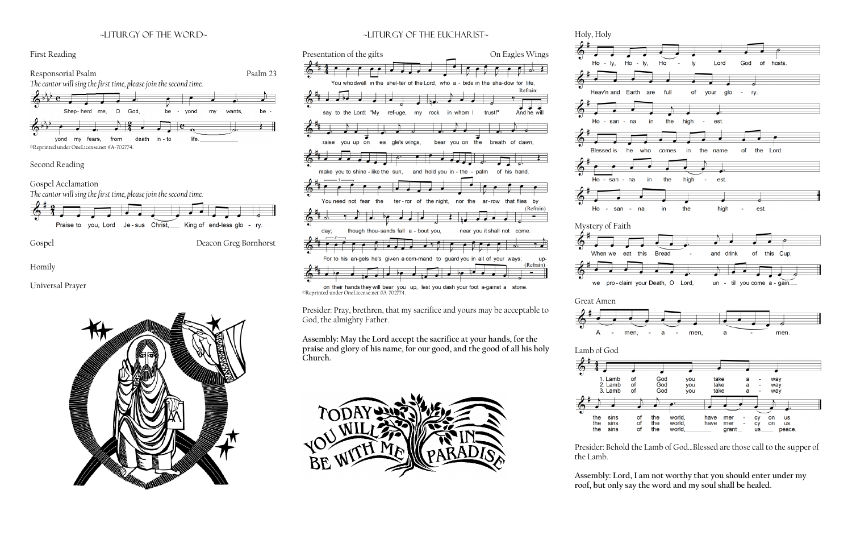# ~liturgy of the word~





#### Second Reading

Gospel Acclamation

on their hands they will bear you up, lest you dash your foot a-gainst a stone. ©Reprinted under OneLicense.net #A-702774.



Gospel Deacon Greg Bornhorst

Homily

Universal Prayer



## ~Liturgy of the Eucharist~



Presider: Pray, brethren, that my sacrifice and yours may be acceptable to God, the almighty Father.

**Assembly: May the Lord accept the sacrifice at your hands, for the praise and glory of his name, for our good, and the good of all his holy Church.**



Holy, Holy







Presider: Behold the Lamb of God…Blessed are those call to the supper of

the Lamb.

## **Assembly: Lord, I am not worthy that you should enter under my roof, but only say the word and my soul shall be healed.**